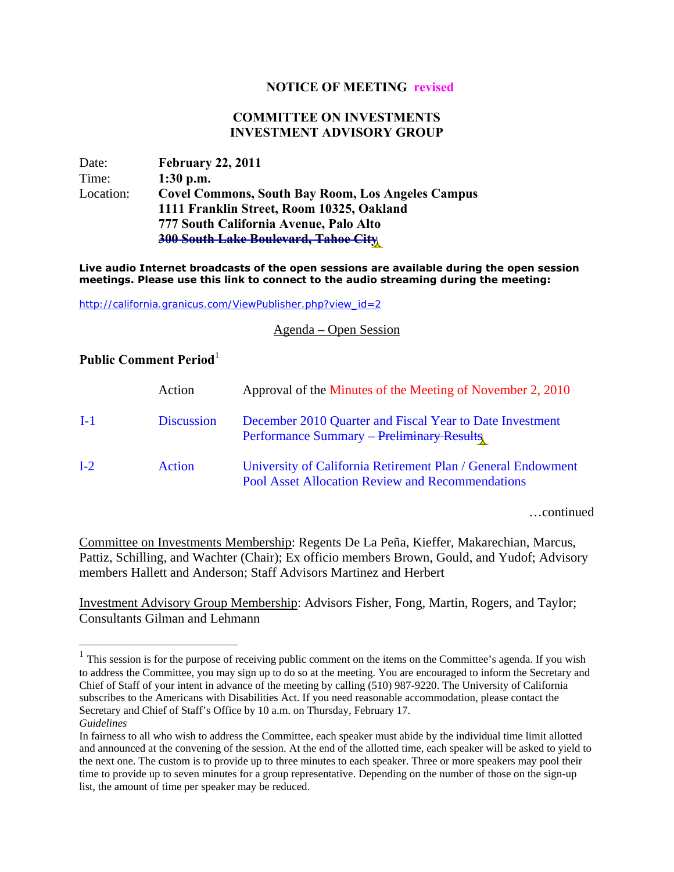## **NOTICE OF MEETING revised**

## **COMMITTEE ON INVESTMENTS INVESTMENT ADVISORY GROUP**

Date: **February 22, 2011**  Time: **1:30 p.m.** Location: **Covel Commons, South Bay Room, Los Angeles Campus 1111 Franklin Street, Room 10325, Oakland 777 South California Avenue, Palo Alto 300 South Lake Boulevard, Tahoe City** 

**Live audio Internet broadcasts of the open sessions are available during the open session meetings. Please use this link to connect to the audio streaming during the meeting:** 

http://california.granicus.com/ViewPublisher.php?view\_id=2

Agenda – Open Session

## **Public Comment Period**<sup>1</sup>

1

|       | Action            | Approval of the Minutes of the Meeting of November 2, 2010                                                              |
|-------|-------------------|-------------------------------------------------------------------------------------------------------------------------|
| $I-1$ | <b>Discussion</b> | December 2010 Quarter and Fiscal Year to Date Investment<br><b>Performance Summary – Preliminary Results</b>            |
| $I-2$ | Action            | University of California Retirement Plan / General Endowment<br><b>Pool Asset Allocation Review and Recommendations</b> |

…continued

Committee on Investments Membership: Regents De La Peña, Kieffer, Makarechian, Marcus, Pattiz, Schilling, and Wachter (Chair); Ex officio members Brown, Gould, and Yudof; Advisory members Hallett and Anderson; Staff Advisors Martinez and Herbert

Investment Advisory Group Membership: Advisors Fisher, Fong, Martin, Rogers, and Taylor; Consultants Gilman and Lehmann

 $<sup>1</sup>$  This session is for the purpose of receiving public comment on the items on the Committee's agenda. If you wish</sup> to address the Committee, you may sign up to do so at the meeting. You are encouraged to inform the Secretary and Chief of Staff of your intent in advance of the meeting by calling (510) 987-9220. The University of California subscribes to the Americans with Disabilities Act. If you need reasonable accommodation, please contact the Secretary and Chief of Staff's Office by 10 a.m. on Thursday, February 17. *Guidelines*

In fairness to all who wish to address the Committee, each speaker must abide by the individual time limit allotted and announced at the convening of the session. At the end of the allotted time, each speaker will be asked to yield to the next one. The custom is to provide up to three minutes to each speaker. Three or more speakers may pool their time to provide up to seven minutes for a group representative. Depending on the number of those on the sign-up list, the amount of time per speaker may be reduced.